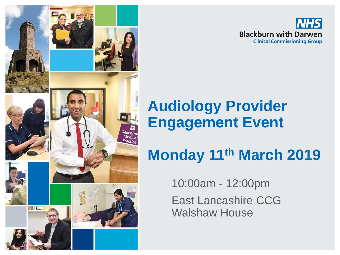



#### **Audiology Provider Engagement Event**

### **Monday 11th March 2019**

10:00am - 12:00pm

East Lancashire CCG Walshaw House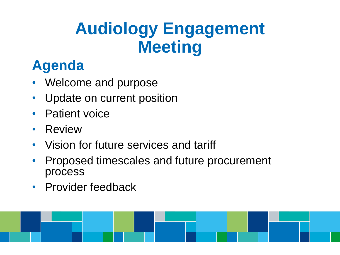### **Audiology Engagement Meeting**

#### **Agenda**

- Welcome and purpose
- Update on current position
- **Patient voice**
- Review
- Vision for future services and tariff
- Proposed timescales and future procurement process
- Provider feedback

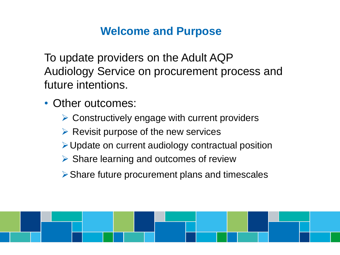#### **Welcome and Purpose**

To update providers on the Adult AQP Audiology Service on procurement process and future intentions.

- Other outcomes:
	- $\triangleright$  Constructively engage with current providers
	- $\triangleright$  Revisit purpose of the new services
	- $\triangleright$  Update on current audiology contractual position
	- $\triangleright$  Share learning and outcomes of review
	- Share future procurement plans and timescales

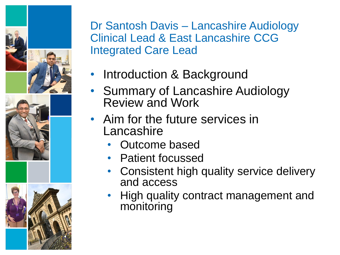

Dr Santosh Davis – Lancashire Audiology Clinical Lead & East Lancashire CCG Integrated Care Lead

- Introduction & Background
- Summary of Lancashire Audiology Review and Work
- Aim for the future services in Lancashire
	- Outcome based
	- Patient focussed
	- Consistent high quality service delivery and access
	- High quality contract management and monitoring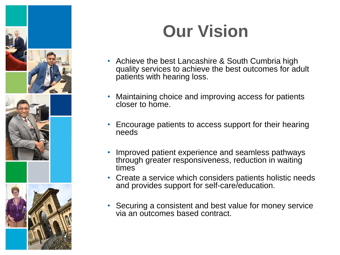

# **Our Vision**

- Achieve the best Lancashire & South Cumbria high quality services to achieve the best outcomes for adult patients with hearing loss.
- Maintaining choice and improving access for patients closer to home.
- Encourage patients to access support for their hearing needs
- Improved patient experience and seamless pathways through greater responsiveness, reduction in waiting times
- Create a service which considers patients holistic needs and provides support for self-care/education.
- Securing a consistent and best value for money service via an outcomes based contract.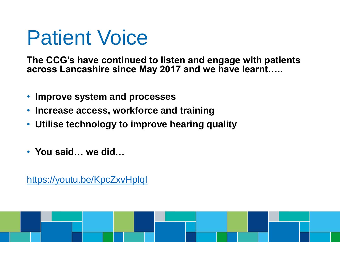# Patient Voice

**The CCG's have continued to listen and engage with patients across Lancashire since May 2017 and we have learnt…..**

- **Improve system and processes**
- **Increase access, workforce and training**
- **Utilise technology to improve hearing quality**
- **You said… we did…**

<https://youtu.be/KpcZxvHplqI>

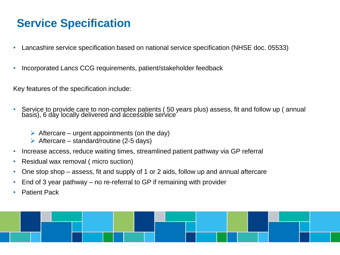#### **Service Specification**

- Lancashire service specification based on national service specification (NHSE doc. 05533)
- Incorporated Lancs CCG requirements, patient/stakeholder feedback

Key features of the specification include:

- Service to provide care to non-complex patients ( 50 years plus) assess, fit and follow up ( annual basis), 6 day locally delivered and accessible service
	- $\triangleright$  Aftercare urgent appointments (on the day)
	- $\triangleright$  Aftercare standard/routine (2-5 days)
- Increase access, reduce waiting times, streamlined patient pathway via GP referral
- Residual wax removal ( micro suction)
- One stop shop assess, fit and supply of 1 or 2 aids, follow up and annual aftercare
- End of 3 year pathway no re-referral to GP if remaining with provider
- **Patient Pack**

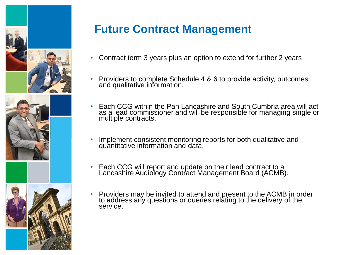





#### **Future Contract Management**

- Contract term 3 years plus an option to extend for further 2 years
- Providers to complete Schedule 4 & 6 to provide activity, outcomes and qualitative information.
- Each CCG within the Pan Lancashire and South Cumbria area will act as a lead commissioner and will be responsible for managing single or multiple contracts.
- Implement consistent monitoring reports for both qualitative and quantitative information and data.
- Each CCG will report and update on their lead contract to a Lancashire Audiology Contract Management Board (ACMB).
- Providers may be invited to attend and present to the ACMB in order to address any questions or queries relating to the delivery of the service.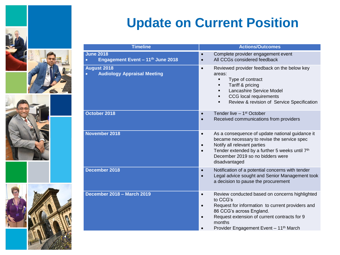







#### **Update on Current Position**

| <b>Timeline</b>                                                       | <b>Actions/Outcomes</b>                                                                                                                                                                                                                                                                           |
|-----------------------------------------------------------------------|---------------------------------------------------------------------------------------------------------------------------------------------------------------------------------------------------------------------------------------------------------------------------------------------------|
| <b>June 2018</b><br>Engagement Event - 11th June 2018<br>$\bullet$    | Complete provider engagement event<br>$\bullet$<br>All CCGs considered feedback                                                                                                                                                                                                                   |
| <b>August 2018</b><br><b>Audiology Appraisal Meeting</b><br>$\bullet$ | Reviewed provider feedback on the below key<br>$\bullet$<br>areas:<br>Type of contract<br>٠<br>Tariff & pricing<br>Lancashire Service Model<br>CCG local requirements<br>Review & revision of Service Specification<br>٠                                                                          |
| October 2018                                                          | Tender live - 1 <sup>st</sup> October<br>$\bullet$<br>Received communications from providers<br>$\bullet$                                                                                                                                                                                         |
| November 2018                                                         | As a consequence of update national guidance it<br>$\bullet$<br>became necessary to revise the service spec<br>Notify all relevant parties<br>$\bullet$<br>Tender extended by a further 5 weeks until 7th<br>December 2019 so no bidders were<br>disadvantaged                                    |
| December 2018                                                         | Notification of a potential concerns with tender<br>$\bullet$<br>Legal advice sought and Senior Management took<br>$\bullet$<br>a decision to pause the procurement                                                                                                                               |
| December 2018 - March 2019                                            | Review conducted based on concerns highlighted<br>$\bullet$<br>to CCG's<br>Request for information to current providers and<br>$\bullet$<br>86 CCG's across England.<br>Request extension of current contracts for 9<br>$\bullet$<br>months<br>Provider Engagement Event - 11 <sup>th</sup> March |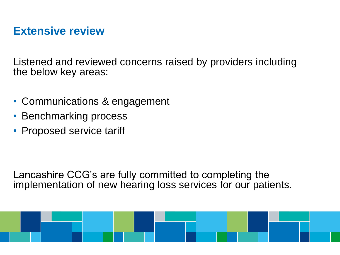#### **Extensive review**

Listened and reviewed concerns raised by providers including the below key areas:

- Communications & engagement
- Benchmarking process
- Proposed service tariff

Lancashire CCG's are fully committed to completing the implementation of new hearing loss services for our patients.

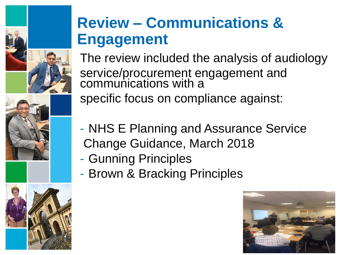





### **Review – Communications & Engagement**

The review included the analysis of audiology service/procurement engagement and communications with a specific focus on compliance against:

- NHS E Planning and Assurance Service Change Guidance, March 2018
- Gunning Principles
- Brown & Bracking Principles

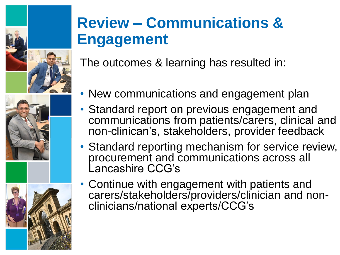





### **Review – Communications & Engagement**

The outcomes & learning has resulted in:

- New communications and engagement plan
- Standard report on previous engagement and communications from patients/carers, clinical and non-clinican's, stakeholders, provider feedback
- Standard reporting mechanism for service review, procurement and communications across all Lancashire CCG's
- Continue with engagement with patients and carers/stakeholders/providers/clinician and nonclinicians/national experts/CCG's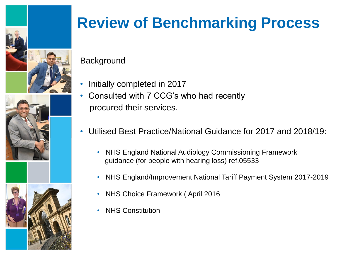





### **Review of Benchmarking Process**

**Background** 

- Initially completed in 2017
- Consulted with 7 CCG's who had recently procured their services.
- Utilised Best Practice/National Guidance for 2017 and 2018/19:
	- NHS England National Audiology Commissioning Framework guidance (for people with hearing loss) ref.05533
	- NHS England/Improvement National Tariff Payment System 2017-2019
	- NHS Choice Framework (April 2016
	- NHS Constitution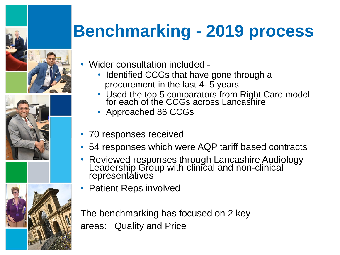





# **Benchmarking - 2019 process**

- Wider consultation included
	- Identified CCGs that have gone through a procurement in the last 4- 5 years
	- Used the top 5 comparators from Right Care model for each of the CCGs across Lancashire
	- Approached 86 CCGs
- 70 responses received
- 54 responses which were AQP tariff based contracts
- Reviewed responses through Lancashire Audiology Leadership Group with clinical and non-clinical representatives
- Patient Reps involved

The benchmarking has focused on 2 key areas: Quality and Price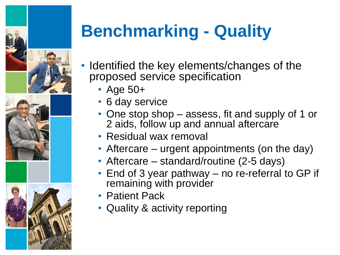



# **Benchmarking - Quality**

- Identified the key elements/changes of the proposed service specification
	- Age 50+
	- 6 day service
	- One stop shop assess, fit and supply of 1 or 2 aids, follow up and annual aftercare
	- Residual wax removal
	- Aftercare urgent appointments (on the day)
	- Aftercare standard/routine (2-5 days)
	- End of 3 year pathway no re-referral to GP if remaining with provider
	- Patient Pack
	- Quality & activity reporting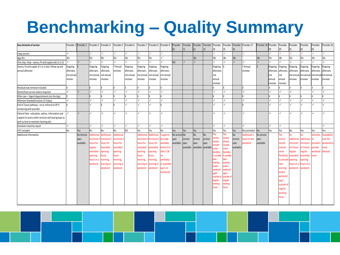## **Benchmarking – Quality Summary**

| <b>Key elements of service</b>                       |            | Provider 1 Provider 2 |                   | Provider 3 Provider 4 | Provider 5 Provider 6 |                |            | Provider 7 Provider 8 Provider 9 |                  | Provider<br>10 <sup>°</sup> | Provider<br>11 | Provider Provider<br>12       | 13             | Provider<br>14   | 15                | 16             | Provider Provider Provider 17 | Provider 18  | Provider Provider<br>19 | 20                    | Provider<br>21 | Provider<br>22 | Provider<br>23   | Provider 24         |
|------------------------------------------------------|------------|-----------------------|-------------------|-----------------------|-----------------------|----------------|------------|----------------------------------|------------------|-----------------------------|----------------|-------------------------------|----------------|------------------|-------------------|----------------|-------------------------------|--------------|-------------------------|-----------------------|----------------|----------------|------------------|---------------------|
| 6 day service                                        |            |                       |                   |                       |                       | $\checkmark$   |            |                                  |                  |                             |                |                               |                |                  |                   |                |                               |              |                         |                       |                |                |                  |                     |
| Age 50+                                              | $18 +$     |                       | 55+               | $55+$                 | $55+$                 | $18+$          | $55+$      | $55+$                            | $\checkmark$     |                             |                | $18+$                         |                | $18+$            | $18+$             | $18+$          |                               | $18+$        | $55+$                   | $18+$                 | $55+$          | 55+            | $19+$            | $18+$               |
| One stop shop - assess, fit and supply aids (1 or 2) |            |                       |                   |                       |                       |                |            |                                  | $\checkmark$     | N <sub>O</sub>              |                |                               |                |                  |                   | $\checkmark$   |                               | $\checkmark$ |                         |                       |                |                |                  |                     |
| Assess, fit and supply of 1 or 2 aids, follow up and | Ongoing    |                       | Ongoing           | Ongoing               | ? Annual              | <b>Ongoing</b> | Ongoing    | Ongoing                          | Ongoing          |                             |                |                               |                | Ongoing          |                   |                | ? Annual                      |              | Ongoing                 | Ongoing               | Ongoing        | Ongoing        | Ongoing          | Ongoing             |
| annual aftercare                                     | aftercare. |                       | aftercare,        | aftercare,            | reviews               | aftercare      | aftercare, | aftercare,                       | aftercare,       |                             |                |                               |                | aftercare        |                   |                | reviews                       |              |                         | aftercare, aftercare, | aftercare,     | aftercare,     | aftercare,       | aftercare           |
|                                                      | not annual |                       | not annua         | not annual            |                       | not annual     | not annua  | not annua                        | not annual       |                             |                |                               |                | not              |                   |                |                               |              | not                     | not                   | not annua      | not annua      | not annua        | not annual          |
|                                                      | review     |                       | reviews           | reviews               |                       | reviews        | reviews    | reviews                          | reviews          |                             |                |                               |                | annual           |                   |                |                               |              | annua                   | annual                | reviews        | reviews        | reviews          | reviews             |
|                                                      |            |                       |                   |                       |                       |                |            |                                  |                  |                             |                |                               |                | reviews          |                   |                |                               |              | reviews                 | reviews               |                |                |                  |                     |
| Residual wax removal included                        |            |                       |                   |                       |                       |                |            |                                  |                  |                             |                |                               |                |                  |                   |                |                               |              |                         |                       |                |                |                  |                     |
| Domicilliary service where required                  |            |                       |                   |                       |                       |                |            |                                  | √                |                             |                |                               |                |                  |                   |                |                               |              |                         |                       |                |                |                  |                     |
| After care - Urgent Appointments (on the day)        |            |                       |                   |                       |                       |                |            |                                  |                  |                             |                |                               |                |                  |                   |                |                               |              |                         |                       |                |                |                  |                     |
| Aftercare Standard/routine (2-5 days)                |            |                       |                   | ✓                     |                       |                |            | √                                | $\checkmark$     |                             |                |                               |                |                  |                   |                |                               |              |                         |                       |                |                |                  | $\checkmark$        |
| End of 3 year pathway - no re-referral to GP if      |            |                       |                   |                       |                       |                |            |                                  |                  |                             |                |                               |                |                  |                   |                |                               |              |                         | J                     |                |                |                  |                     |
| remaining with provider                              |            |                       |                   |                       |                       |                |            |                                  |                  |                             |                |                               |                |                  |                   |                |                               |              |                         |                       |                |                |                  |                     |
| Patient Pack - education, advice, information and    |            | $\checkmark$          |                   |                       |                       |                |            | J                                | $\checkmark$     |                             |                |                               |                | J                |                   |                |                               |              |                         | ✓                     |                |                |                  |                     |
| support to access other services and local groups as |            |                       |                   |                       |                       |                |            |                                  |                  |                             |                |                               |                |                  |                   |                |                               |              |                         |                       |                |                |                  |                     |
| well as how to maintain hearing aids                 |            |                       |                   |                       |                       |                |            |                                  |                  |                             |                |                               |                |                  |                   |                |                               |              |                         |                       |                |                |                  |                     |
| Schedule 4 activity report                           |            |                       |                   | $\checkmark$          | $\checkmark$          |                |            |                                  | $\checkmark$     |                             |                |                               |                |                  |                   |                |                               |              |                         | √                     |                |                |                  | √                   |
| VAT included                                         | No         | Yes                   | No                | No                    | N <sub>0</sub>        | N <sub>O</sub> | Yes        | Yes                              | N <sub>o</sub>   | Yes                         | Yes            | Yes                           |                | Yes              | Yes               | Yes            | Not provided                  | <b>No</b>    | Yes                     | Yes                   | No             | Yes            | Yes              | Yes                 |
| Additional Information                               |            | No Service            | <b>Additional</b> | <b>Additiona</b>      | <b>Additional</b>     |                | Additional | <b>Additional</b>                | 5 appts to       | No service No               |                | N <sub>o</sub>                | N <sub>o</sub> | Ъe               | he                | N <sub>0</sub> | <b>Additional 5</b>           | No service   |                         | The                   | An             | An             | <b>Selection</b> | <b>Availability</b> |
|                                                      |            | spec                  |                   | ninimum 5 minimum!    | inimum!               |                | minimum.   | inimum !                         | be made          | spec                        | service        | service                       | service        | ervice<br>hould  | ervice<br>hould   | service        | ours on the                   | spec         |                         | service               | additional     | additional     |                  | over the            |
|                                                      |            | available             | ours for          | nours for             | hours for             |                | hours for  | ours for                         | <b>available</b> | available.                  | spec           | spec                          | spec           | clude            | nclude            | spec           | reekend                       | available    |                         | should                | ninimum        | inimum         | <b>providers</b> | veekend ti          |
|                                                      |            |                       | regular           | extended              | extended              |                | extended   | xtended                          | before 9 or      |                             |                | available available available |                | me               | ome               | available      |                               |              |                         | nclude                | of 5 hours     | of 5 hours     | rovide           | neet                |
|                                                      |            |                       | extended          | pening                | opening               |                | opening    | pening                           | after 5.30       |                             |                |                               |                | exibility        | <b>exibility</b>  |                |                               |              |                         | some                  | regular        | regular        | veekend          | demand              |
|                                                      |            |                       | opening           | ours                  | hours                 |                | hours      | <b>OUTS</b>                      | nn               |                             |                |                               |                | o provide        | o provide         |                |                               |              |                         | ilexibili             | extended       | extended       | over             |                     |
|                                                      |            |                       | hours on a        | orning,               | morning,              |                | morning,   | norning,                         | weekdays         |                             |                |                               |                | ater<br>evening  | ater<br>vening    |                |                               |              |                         | to provide            | opening        | ipening        |                  |                     |
|                                                      |            |                       | weekend           | evening o             | evening or            |                | evening or | vening or                        | or available     |                             |                |                               |                | and/or           | nd/or             |                |                               |              |                         | ater                  | าours on a     | ours on a      |                  |                     |
|                                                      |            |                       |                   | weekend               | weekend               |                | weekend    | eekend                           | app's on         |                             |                |                               |                | veekend          | reekend           |                |                               |              |                         | evening               | veekend        | veekend        |                  |                     |
|                                                      |            |                       |                   |                       |                       |                |            |                                  | weekends         |                             |                |                               |                | app's            | pp's              |                |                               |              |                         | and/or                |                |                |                  |                     |
|                                                      |            |                       |                   |                       |                       |                |            |                                  |                  |                             |                |                               |                | outside of       | utside o          |                |                               |              |                         | weekend               |                |                |                  |                     |
|                                                      |            |                       |                   |                       |                       |                |            |                                  |                  |                             |                |                               |                | egula<br>vorkina | egular<br>vorking |                |                               |              |                         | app's                 |                |                |                  |                     |
|                                                      |            |                       |                   |                       |                       |                |            |                                  |                  |                             |                |                               |                | <b>10Urs</b>     | <b>OUIS</b>       |                |                               |              |                         | outside o             |                |                |                  |                     |
|                                                      |            |                       |                   |                       |                       |                |            |                                  |                  |                             |                |                               |                |                  |                   |                |                               |              |                         | egular                |                |                |                  |                     |
|                                                      |            |                       |                   |                       |                       |                |            |                                  |                  |                             |                |                               |                |                  |                   |                |                               |              |                         | working               |                |                |                  |                     |
|                                                      |            |                       |                   |                       |                       |                |            |                                  |                  |                             |                |                               |                |                  |                   |                |                               |              |                         | <b>OUIS</b>           |                |                |                  |                     |
|                                                      |            |                       |                   |                       |                       |                |            |                                  |                  |                             |                |                               |                |                  |                   |                |                               |              |                         |                       |                |                |                  |                     |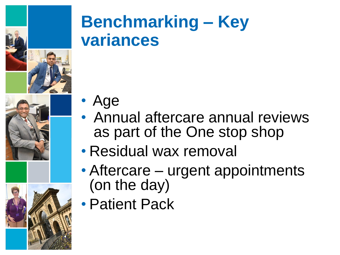





# **Benchmarking – Key variances**

- Age
- Annual aftercare annual reviews as part of the One stop shop
- Residual wax removal
- Aftercare urgent appointments (on the day)
- Patient Pack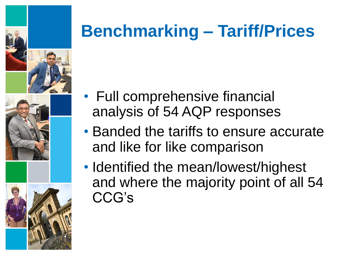





# **Benchmarking – Tariff/Prices**

- Full comprehensive financial analysis of 54 AQP responses
- Banded the tariffs to ensure accurate and like for like comparison
- Identified the mean/lowest/highest and where the majority point of all 54 CCG's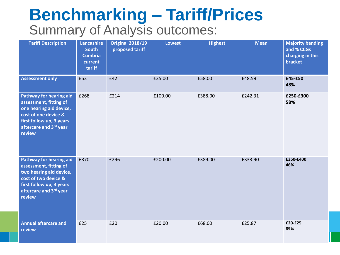#### **Benchmarking – Tariff/Prices** Summary of Analysis outcomes:

| <b>Tariff Description</b>                                                                                                                                                   | Lancashire<br><b>South</b><br><b>Cumbria</b><br>current<br>tariff | <b>Original 2018/19</b><br>proposed tariff | <b>Lowest</b> | <b>Highest</b> | <b>Mean</b> | <b>Majority banding</b><br>and % CCGs<br>charging in this<br><b>bracket</b> |
|-----------------------------------------------------------------------------------------------------------------------------------------------------------------------------|-------------------------------------------------------------------|--------------------------------------------|---------------|----------------|-------------|-----------------------------------------------------------------------------|
| <b>Assessment only</b>                                                                                                                                                      | £53                                                               | £42                                        | £35.00        | £58.00         | £48.59      | £45-£50<br>48%                                                              |
| <b>Pathway for hearing aid</b><br>assessment, fitting of<br>one hearing aid device,<br>cost of one device &<br>first follow up, 3 years<br>aftercare and 3rd year<br>review | £268                                                              | £214                                       | £100.00       | £388.00        | £242.31     | £250-£300<br>58%                                                            |
| <b>Pathway for hearing aid</b><br>assessment, fitting of<br>two hearing aid device,<br>cost of two device &<br>first follow up, 3 years<br>aftercare and 3rd year<br>review | £370                                                              | £296                                       | £200.00       | £389.00        | £333.90     | £350-£400<br>46%                                                            |
| <b>Annual aftercare and</b><br>review                                                                                                                                       | £25                                                               | £20                                        | £20.00        | £68.00         | £25.87      | £20-£25<br>89%                                                              |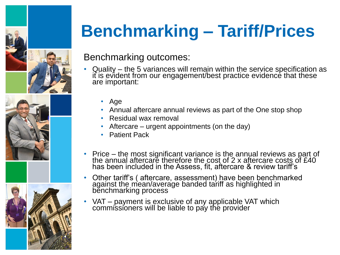





# **Benchmarking – Tariff/Prices**

#### Benchmarking outcomes:

- Quality the 5 variances will remain within the service specification as it is evident from our engagement/best practice evidence that these are important:
	- Age
	- Annual aftercare annual reviews as part of the One stop shop
	- Residual wax removal
	- Aftercare urgent appointments (on the day)
	- Patient Pack
- Price the most significant variance is the annual reviews as part of the annual aftercare therefore the cost of 2 x aftercare costs of £40 has been included in the Assess, fit, aftercare & review tariff's
- Other tariff's ( aftercare, assessment) have been benchmarked against the mean/average banded tariff as highlighted in benchmarking process
- VAT payment is exclusive of any applicable VAT which commissioners will be liable to pay the provider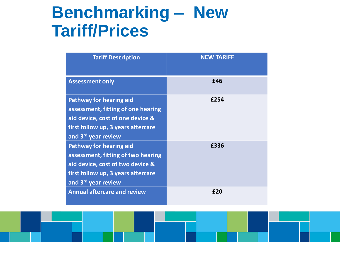### **Benchmarking – New Tariff/Prices**

| <b>Tariff Description</b>                                                                                                                                             | <b>NEW TARIFF</b> |
|-----------------------------------------------------------------------------------------------------------------------------------------------------------------------|-------------------|
| <b>Assessment only</b>                                                                                                                                                | £46               |
| <b>Pathway for hearing aid</b><br>assessment, fitting of one hearing<br>aid device, cost of one device &<br>first follow up, 3 years aftercare<br>and 3rd year review | £254              |
| <b>Pathway for hearing aid</b><br>assessment, fitting of two hearing<br>aid device, cost of two device &<br>first follow up, 3 years aftercare<br>and 3rd year review | £336              |
| <b>Annual aftercare and review</b>                                                                                                                                    | f20               |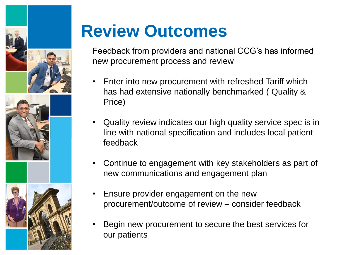



## **Review Outcomes**

Feedback from providers and national CCG's has informed new procurement process and review

- Enter into new procurement with refreshed Tariff which has had extensive nationally benchmarked ( Quality & Price)
- Quality review indicates our high quality service spec is in line with national specification and includes local patient feedback
- Continue to engagement with key stakeholders as part of new communications and engagement plan
- Ensure provider engagement on the new procurement/outcome of review – consider feedback
- Begin new procurement to secure the best services for our patients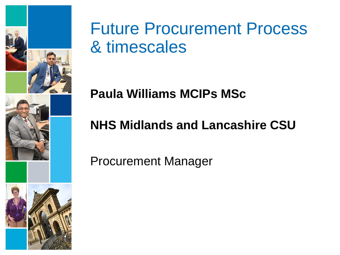

### Future Procurement Process & timescales

#### **Paula Williams MCIPs MSc**

#### **NHS Midlands and Lancashire CSU**

Procurement Manager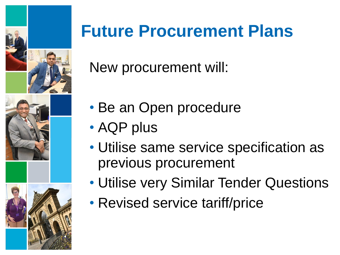



# **Future Procurement Plans**

New procurement will:

- Be an Open procedure
- AQP plus
- Utilise same service specification as previous procurement
- Utilise very Similar Tender Questions
- Revised service tariff/price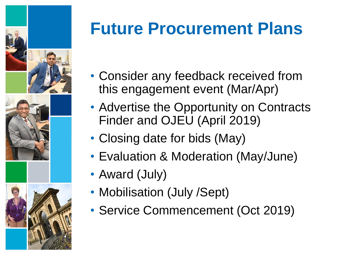



# **Future Procurement Plans**

- Consider any feedback received from this engagement event (Mar/Apr)
- Advertise the Opportunity on Contracts Finder and OJEU (April 2019)
- Closing date for bids (May)
- Evaluation & Moderation (May/June)
- Award (July)
- Mobilisation (July /Sept)
- Service Commencement (Oct 2019)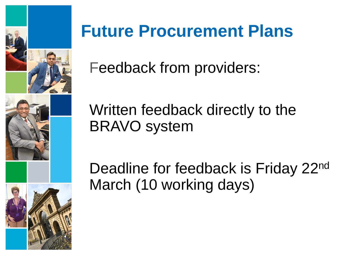

## **Future Procurement Plans**

Feedback from providers:

Written feedback directly to the BRAVO system

Deadline for feedback is Friday 22<sup>nd</sup> March (10 working days)